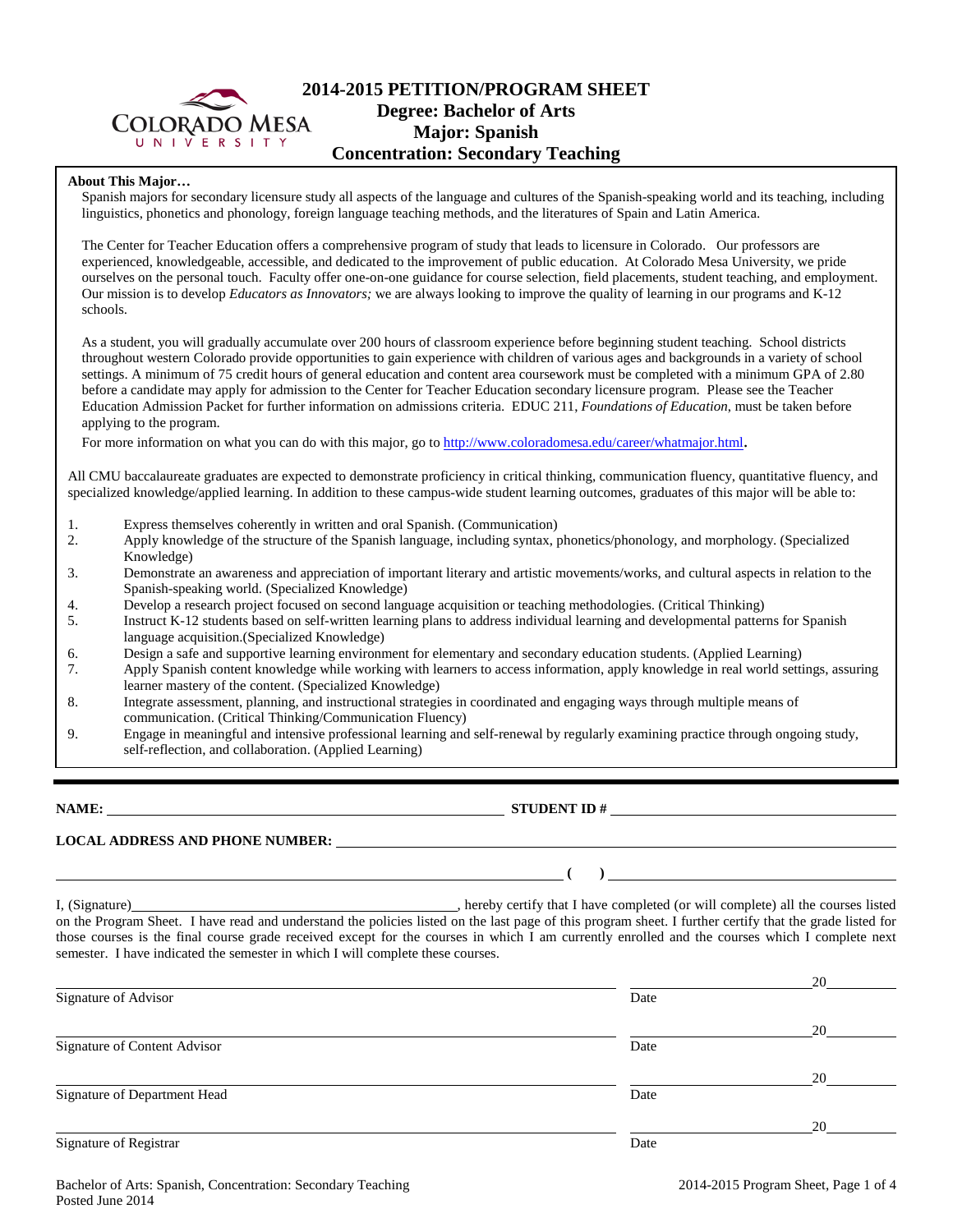

## **2014-2015 PETITION/PROGRAM SHEET Degree: Bachelor of Arts Major: Spanish Concentration: Secondary Teaching**

### **About This Major…**

Spanish majors for secondary licensure study all aspects of the language and cultures of the Spanish-speaking world and its teaching, including linguistics, phonetics and phonology, foreign language teaching methods, and the literatures of Spain and Latin America.

The Center for Teacher Education offers a comprehensive program of study that leads to licensure in Colorado. Our professors are experienced, knowledgeable, accessible, and dedicated to the improvement of public education. At Colorado Mesa University, we pride ourselves on the personal touch. Faculty offer one-on-one guidance for course selection, field placements, student teaching, and employment. Our mission is to develop *Educators as Innovators;* we are always looking to improve the quality of learning in our programs and K-12 schools.

As a student, you will gradually accumulate over 200 hours of classroom experience before beginning student teaching. School districts throughout western Colorado provide opportunities to gain experience with children of various ages and backgrounds in a variety of school settings. A minimum of 75 credit hours of general education and content area coursework must be completed with a minimum GPA of 2.80 before a candidate may apply for admission to the Center for Teacher Education secondary licensure program. Please see the Teacher Education Admission Packet for further information on admissions criteria. EDUC 211, *Foundations of Education*, must be taken before applying to the program.

For more information on what you can do with this major, go to [http://www.coloradomesa.edu/career/whatmajor.html.](http://www.coloradomesa.edu/career/whatmajor.html)

All CMU baccalaureate graduates are expected to demonstrate proficiency in critical thinking, communication fluency, quantitative fluency, and specialized knowledge/applied learning. In addition to these campus-wide student learning outcomes, graduates of this major will be able to:

- 1. Express themselves coherently in written and oral Spanish. (Communication)
- 2. Apply knowledge of the structure of the Spanish language, including syntax, phonetics/phonology, and morphology. (Specialized Knowledge)
- 3. Demonstrate an awareness and appreciation of important literary and artistic movements/works, and cultural aspects in relation to the Spanish-speaking world. (Specialized Knowledge)
- 4. Develop a research project focused on second language acquisition or teaching methodologies. (Critical Thinking)
- 5. Instruct K-12 students based on self-written learning plans to address individual learning and developmental patterns for Spanish language acquisition.(Specialized Knowledge)
- 6. Design a safe and supportive learning environment for elementary and secondary education students. (Applied Learning)
- 7. Apply Spanish content knowledge while working with learners to access information, apply knowledge in real world settings, assuring learner mastery of the content. (Specialized Knowledge)
- 8. Integrate assessment, planning, and instructional strategies in coordinated and engaging ways through multiple means of communication. (Critical Thinking/Communication Fluency)
- 9. Engage in meaningful and intensive professional learning and self-renewal by regularly examining practice through ongoing study, self-reflection, and collaboration. (Applied Learning)

**NAME: STUDENT ID #**

 $( )$   $)$   $)$ 

**LOCAL ADDRESS AND PHONE NUMBER:**

I, (Signature) , hereby certify that I have completed (or will complete) all the courses listed on the Program Sheet. I have read and understand the policies listed on the last page of this program sheet. I further certify that the grade listed for those courses is the final course grade received except for the courses in which I am currently enrolled and the courses which I complete next semester. I have indicated the semester in which I will complete these courses.

|                              |      | 20 |
|------------------------------|------|----|
| Signature of Advisor         | Date |    |
|                              |      | 20 |
| Signature of Content Advisor | Date |    |
|                              |      | 20 |
| Signature of Department Head | Date |    |
|                              |      | 20 |
| Signature of Registrar       | Date |    |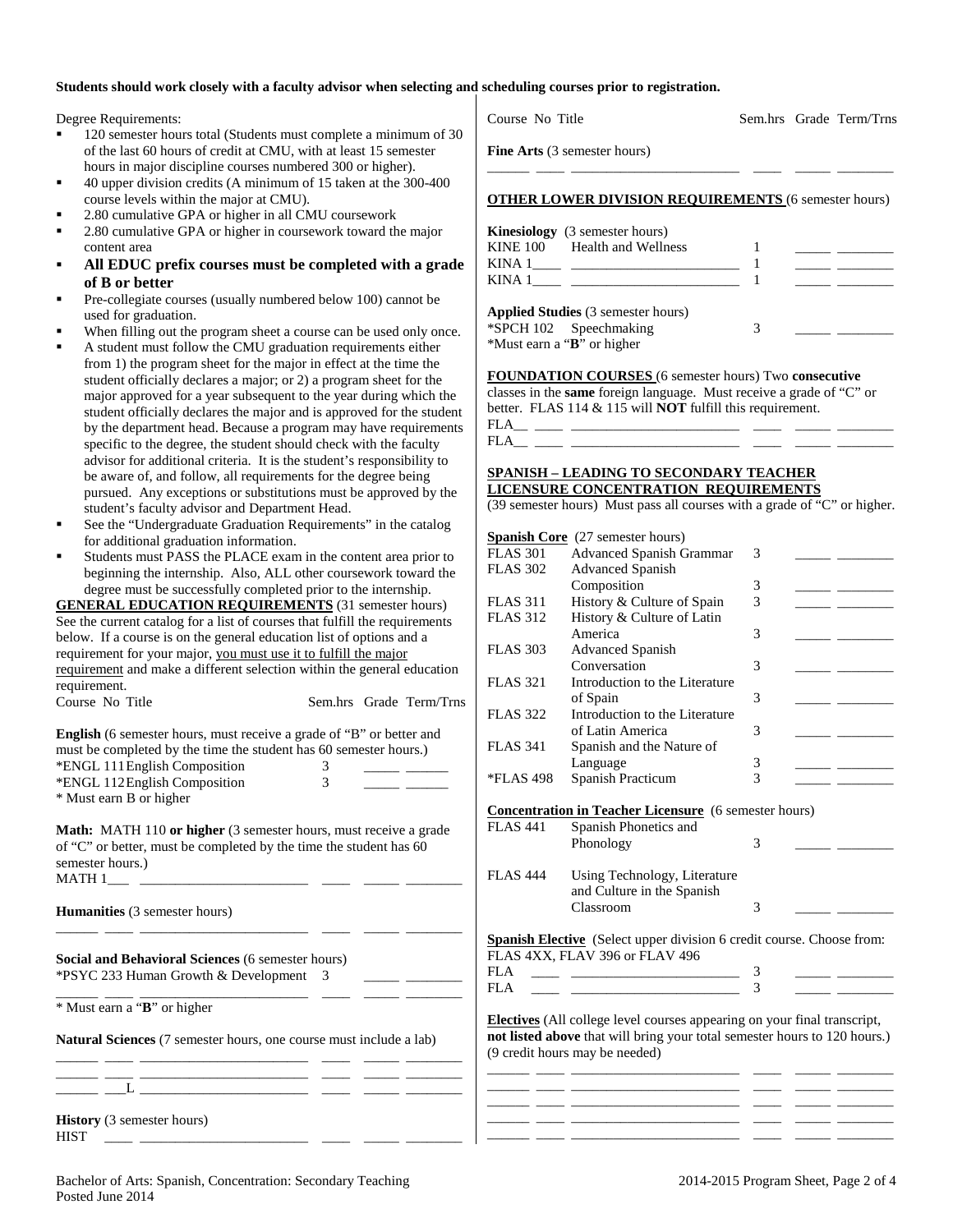#### **Students should work closely with a faculty advisor when selecting and scheduling courses prior to registration.**

Degree Requirements:

- 120 semester hours total (Students must complete a minimum of 30 of the last 60 hours of credit at CMU, with at least 15 semester hours in major discipline courses numbered 300 or higher).
- 40 upper division credits (A minimum of 15 taken at the 300-400 course levels within the major at CMU).
- 2.80 cumulative GPA or higher in all CMU coursework
- 2.80 cumulative GPA or higher in coursework toward the major content area
- **All EDUC prefix courses must be completed with a grade of B or better**
- Pre-collegiate courses (usually numbered below 100) cannot be used for graduation.
- When filling out the program sheet a course can be used only once.
- A student must follow the CMU graduation requirements either from 1) the program sheet for the major in effect at the time the student officially declares a major; or 2) a program sheet for the major approved for a year subsequent to the year during which the student officially declares the major and is approved for the student by the department head. Because a program may have requirements specific to the degree, the student should check with the faculty advisor for additional criteria. It is the student's responsibility to be aware of, and follow, all requirements for the degree being pursued. Any exceptions or substitutions must be approved by the student's faculty advisor and Department Head.
- See the "Undergraduate Graduation Requirements" in the catalog for additional graduation information.
- Students must PASS the PLACE exam in the content area prior to beginning the internship. Also, ALL other coursework toward the degree must be successfully completed prior to the internship.

**GENERAL EDUCATION REQUIREMENTS** (31 semester hours) See the current catalog for a list of courses that fulfill the requirements below. If a course is on the general education list of options and a requirement for your major, you must use it to fulfill the major requirement and make a different selection within the general education requirement.

| Course No Title |  | Sem.hrs Grade Term/Trns |
|-----------------|--|-------------------------|
|                 |  |                         |

| <b>English</b> (6 semester hours, must receive a grade of "B" or better and |   |  |
|-----------------------------------------------------------------------------|---|--|
| must be completed by the time the student has 60 semester hours.)           |   |  |
| *ENGL 111 English Composition                                               |   |  |
| *ENGL 112 English Composition                                               | 3 |  |
| * Must earn B or higher                                                     |   |  |

**Math:** MATH 110 **or higher** (3 semester hours, must receive a grade of "C" or better, must be completed by the time the student has 60 semester hours.) MATH 1\_\_\_ \_\_\_\_\_\_\_\_\_\_\_\_\_\_\_\_\_\_\_\_\_\_\_\_ \_\_\_\_ \_\_\_\_\_ \_\_\_\_\_\_\_\_

\_\_\_\_\_\_ \_\_\_\_ \_\_\_\_\_\_\_\_\_\_\_\_\_\_\_\_\_\_\_\_\_\_\_\_ \_\_\_\_ \_\_\_\_\_ \_\_\_\_\_\_\_\_

**Humanities** (3 semester hours)

**Social and Behavioral Sciences** (6 semester hours) \*PSYC 233 Human Growth & Development 3 \_\_\_\_\_ \_\_\_\_\_\_\_\_

\_\_\_\_\_\_ \_\_\_\_ \_\_\_\_\_\_\_\_\_\_\_\_\_\_\_\_\_\_\_\_\_\_\_\_ \_\_\_\_ \_\_\_\_\_ \_\_\_\_\_\_\_\_ \* Must earn a "**B**" or higher

**Natural Sciences** (7 semester hours, one course must include a lab)

\_\_\_\_\_\_ \_\_\_\_ \_\_\_\_\_\_\_\_\_\_\_\_\_\_\_\_\_\_\_\_\_\_\_\_ \_\_\_\_ \_\_\_\_\_ \_\_\_\_\_\_\_\_ \_\_\_\_\_\_ \_\_\_\_ \_\_\_\_\_\_\_\_\_\_\_\_\_\_\_\_\_\_\_\_\_\_\_\_ \_\_\_\_ \_\_\_\_\_ \_\_\_\_\_\_\_\_ \_\_\_\_\_\_ \_\_\_L \_\_\_\_\_\_\_\_\_\_\_\_\_\_\_\_\_\_\_\_\_\_\_\_ \_\_\_\_ \_\_\_\_\_ \_\_\_\_\_\_\_\_

|                                     | <b>Kinesiology</b> (3 semester hours)                                       |   |  |
|-------------------------------------|-----------------------------------------------------------------------------|---|--|
|                                     | KINE 100 Health and Wellness                                                |   |  |
|                                     |                                                                             |   |  |
|                                     |                                                                             |   |  |
|                                     | <b>Applied Studies</b> (3 semester hours)                                   |   |  |
| *SPCH 102 Speechmaking              |                                                                             | 3 |  |
| *Must earn a " <b>B</b> " or higher |                                                                             |   |  |
|                                     | FOUNDATION COURSES (6 semester hours) Two consecutive                       |   |  |
|                                     | classes in the <b>same</b> foreign language. Must receive a grade of "C" or |   |  |
|                                     |                                                                             |   |  |
|                                     | better. FLAS $114 \& 115$ will <b>NOT</b> fulfill this requirement.         |   |  |

Course No Title Sem.hrs Grade Term/Trns

\_\_\_\_\_\_ \_\_\_\_ \_\_\_\_\_\_\_\_\_\_\_\_\_\_\_\_\_\_\_\_\_\_\_\_ \_\_\_\_ \_\_\_\_\_ \_\_\_\_\_\_\_\_

**Fine Arts** (3 semester hours)

#### **SPANISH – LEADING TO SECONDARY TEACHER LICENSURE CONCENTRATION REQUIREMENTS**

(39 semester hours) Must pass all courses with a grade of "C" or higher.

|                 | <b>Spanish Core</b> (27 semester hours)                                         |                          |  |
|-----------------|---------------------------------------------------------------------------------|--------------------------|--|
| <b>FLAS 301</b> | <b>Advanced Spanish Grammar</b>                                                 | 3                        |  |
| <b>FLAS 302</b> | <b>Advanced Spanish</b>                                                         |                          |  |
|                 | Composition                                                                     | 3                        |  |
| <b>FLAS 311</b> | History & Culture of Spain                                                      | 3                        |  |
| <b>FLAS 312</b> | History & Culture of Latin                                                      |                          |  |
|                 | America                                                                         | 3                        |  |
| <b>FLAS 303</b> | <b>Advanced Spanish</b>                                                         |                          |  |
|                 | Conversation                                                                    | 3                        |  |
| <b>FLAS 321</b> | Introduction to the Literature                                                  |                          |  |
|                 | of Spain                                                                        | 3                        |  |
| <b>FLAS 322</b> | Introduction to the Literature                                                  |                          |  |
|                 | of Latin America                                                                | 3                        |  |
| <b>FLAS 341</b> | Spanish and the Nature of                                                       |                          |  |
|                 | Language                                                                        | 3                        |  |
| *FLAS 498       | Spanish Practicum                                                               | $\overline{\mathcal{E}}$ |  |
|                 |                                                                                 |                          |  |
|                 | <b>Concentration in Teacher Licensure</b> (6 semester hours)                    |                          |  |
| <b>FLAS 441</b> | Spanish Phonetics and                                                           |                          |  |
|                 | Phonology                                                                       | 3                        |  |
|                 |                                                                                 |                          |  |
| <b>FLAS 444</b> | Using Technology, Literature                                                    |                          |  |
|                 | and Culture in the Spanish                                                      |                          |  |
|                 | Classroom                                                                       | 3                        |  |
|                 |                                                                                 |                          |  |
|                 | <b>Spanish Elective</b> (Select upper division 6 credit course. Choose from:    |                          |  |
|                 | FLAS 4XX, FLAV 396 or FLAV 496                                                  |                          |  |
| FI.A            |                                                                                 | 3                        |  |
| FLA             |                                                                                 | 3                        |  |
|                 |                                                                                 |                          |  |
|                 | <b>Electives</b> (All college level courses appearing on your final transcript, |                          |  |
|                 | not listed above that will bring your total semester hours to 120 hours.)       |                          |  |
|                 | (9 credit hours may be needed)                                                  |                          |  |
|                 |                                                                                 |                          |  |
|                 |                                                                                 |                          |  |
|                 |                                                                                 |                          |  |

\_\_\_\_\_\_ \_\_\_\_ \_\_\_\_\_\_\_\_\_\_\_\_\_\_\_\_\_\_\_\_\_\_\_\_ \_\_\_\_ \_\_\_\_\_ \_\_\_\_\_\_\_\_ \_\_\_\_\_\_ \_\_\_\_ \_\_\_\_\_\_\_\_\_\_\_\_\_\_\_\_\_\_\_\_\_\_\_\_ \_\_\_\_ \_\_\_\_\_ \_\_\_\_\_\_\_\_

| <b>History</b> (3 semester hours) |  |  |  |
|-----------------------------------|--|--|--|
| HIST                              |  |  |  |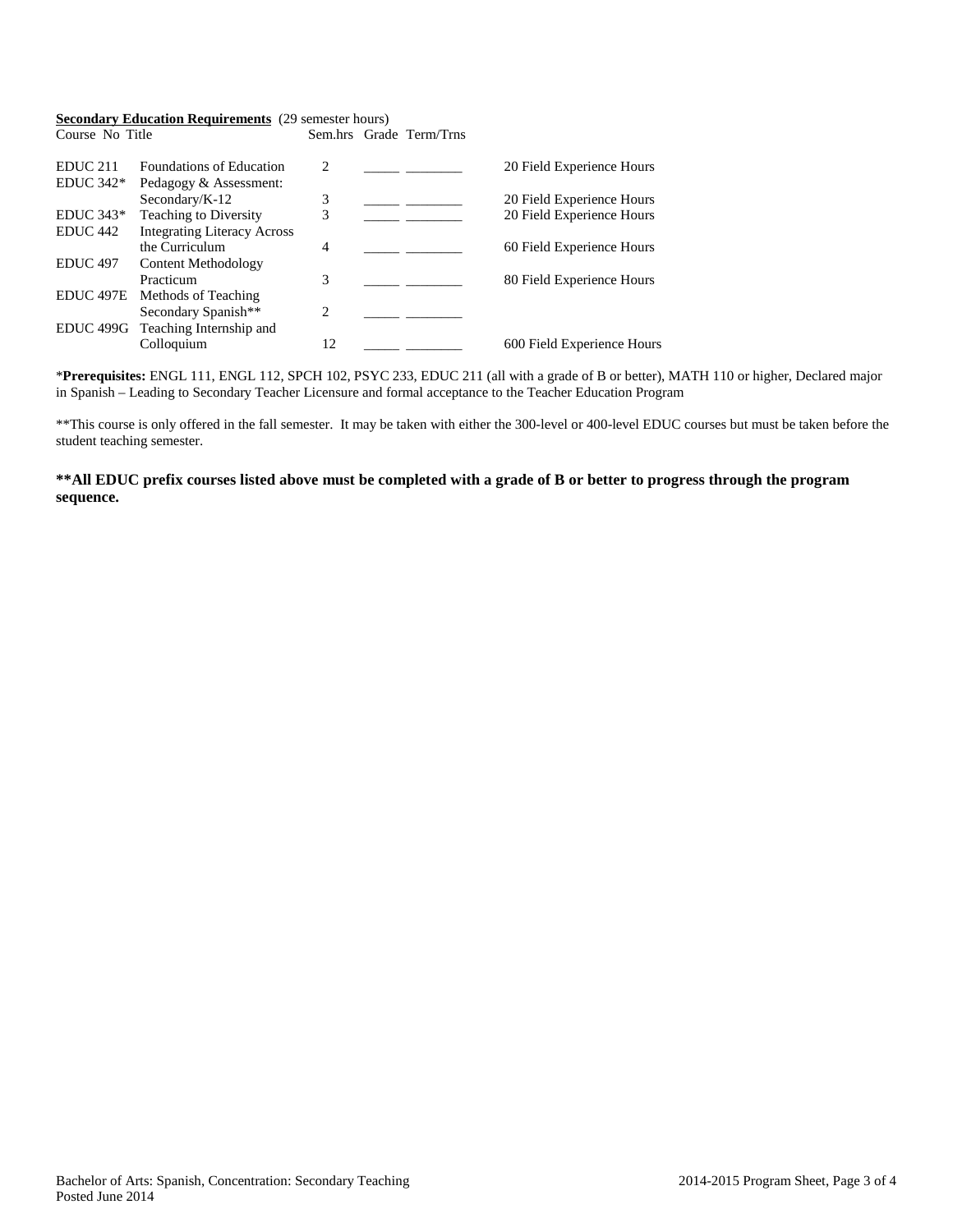## **Secondary Education Requirements** (29 semester hours)

| Course No Title      |                                    |    | Sem.hrs Grade Term/Trns |                            |
|----------------------|------------------------------------|----|-------------------------|----------------------------|
| EDUC <sub>211</sub>  | <b>Foundations of Education</b>    | 2  |                         | 20 Field Experience Hours  |
| $EDUC 342*$          | Pedagogy & Assessment:             |    |                         |                            |
|                      | Secondary/K-12                     | 3  |                         | 20 Field Experience Hours  |
| $EDUC 343*$          | Teaching to Diversity              | 3  |                         | 20 Field Experience Hours  |
| EDUC <sub>442</sub>  | <b>Integrating Literacy Across</b> |    |                         |                            |
|                      | the Curriculum                     | 4  |                         | 60 Field Experience Hours  |
| <b>EDUC 497</b>      | Content Methodology                |    |                         |                            |
|                      | Practicum                          | 3  |                         | 80 Field Experience Hours  |
| EDUC <sub>497E</sub> | Methods of Teaching                |    |                         |                            |
|                      | Secondary Spanish**                | 2  |                         |                            |
| EDUC 499G            | Teaching Internship and            |    |                         |                            |
|                      | Colloquium                         | 12 |                         | 600 Field Experience Hours |

\***Prerequisites:** ENGL 111, ENGL 112, SPCH 102, PSYC 233, EDUC 211 (all with a grade of B or better), MATH 110 or higher, Declared major in Spanish – Leading to Secondary Teacher Licensure and formal acceptance to the Teacher Education Program

\*\*This course is only offered in the fall semester. It may be taken with either the 300-level or 400-level EDUC courses but must be taken before the student teaching semester.

## **\*\*All EDUC prefix courses listed above must be completed with a grade of B or better to progress through the program sequence.**